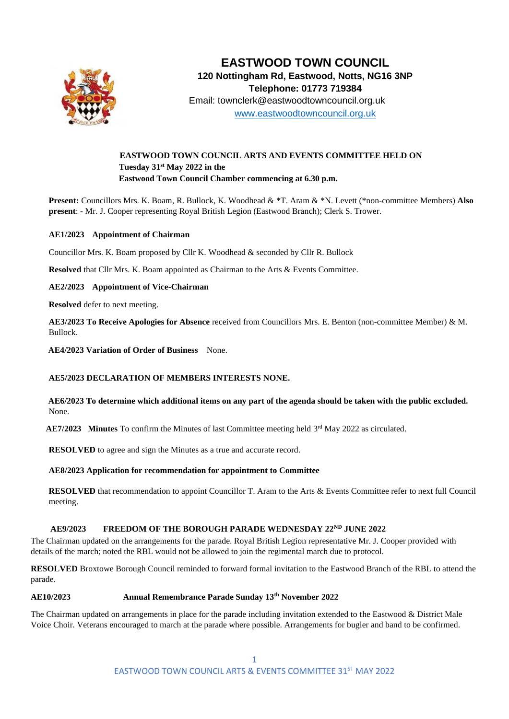

# **EASTWOOD TOWN COUNCIL 120 Nottingham Rd, Eastwood, Notts, NG16 3NP Telephone: 01773 719384** Email: townclerk@eastwoodtowncouncil.org.uk [www.eastwoodtowncouncil.org.uk](http://www.eastwoodtowncouncil.org.uk/)

# **EASTWOOD TOWN COUNCIL ARTS AND EVENTS COMMITTEE HELD ON Tuesday 31st May 2022 in the Eastwood Town Council Chamber commencing at 6.30 p.m.**

**Present:** Councillors Mrs. K. Boam, R. Bullock, K. Woodhead & \*T. Aram & \*N. Levett (\*non-committee Members) **Also present**: - Mr. J. Cooper representing Royal British Legion (Eastwood Branch); Clerk S. Trower.

## **AE1/2023 Appointment of Chairman**

Councillor Mrs. K. Boam proposed by Cllr K. Woodhead & seconded by Cllr R. Bullock

**Resolved** that Cllr Mrs. K. Boam appointed as Chairman to the Arts & Events Committee.

#### **AE2/2023 Appointment of Vice-Chairman**

**Resolved** defer to next meeting.

**AE3/2023 To Receive Apologies for Absence** received from Councillors Mrs. E. Benton (non-committee Member) & M. Bullock.

**AE4/2023 Variation of Order of Business** None.

#### **AE5/2023 DECLARATION OF MEMBERS INTERESTS NONE.**

**AE6/2023 To determine which additional items on any part of the agenda should be taken with the public excluded.**  None.

 $AE7/2023$  Minutes To confirm the Minutes of last Committee meeting held  $3<sup>rd</sup>$  May 2022 as circulated.

**RESOLVED** to agree and sign the Minutes as a true and accurate record.

#### **AE8/2023 Application for recommendation for appointment to Committee**

**RESOLVED** that recommendation to appoint Councillor T. Aram to the Arts & Events Committee refer to next full Council meeting.

# **AE9/2023 FREEDOM OF THE BOROUGH PARADE WEDNESDAY 22ND JUNE 2022**

The Chairman updated on the arrangements for the parade. Royal British Legion representative Mr. J. Cooper provided with details of the march; noted the RBL would not be allowed to join the regimental march due to protocol.

**RESOLVED** Broxtowe Borough Council reminded to forward formal invitation to the Eastwood Branch of the RBL to attend the parade.

#### **AE10/2023 Annual Remembrance Parade Sunday 13th November 2022**

The Chairman updated on arrangements in place for the parade including invitation extended to the Eastwood & District Male Voice Choir. Veterans encouraged to march at the parade where possible. Arrangements for bugler and band to be confirmed.